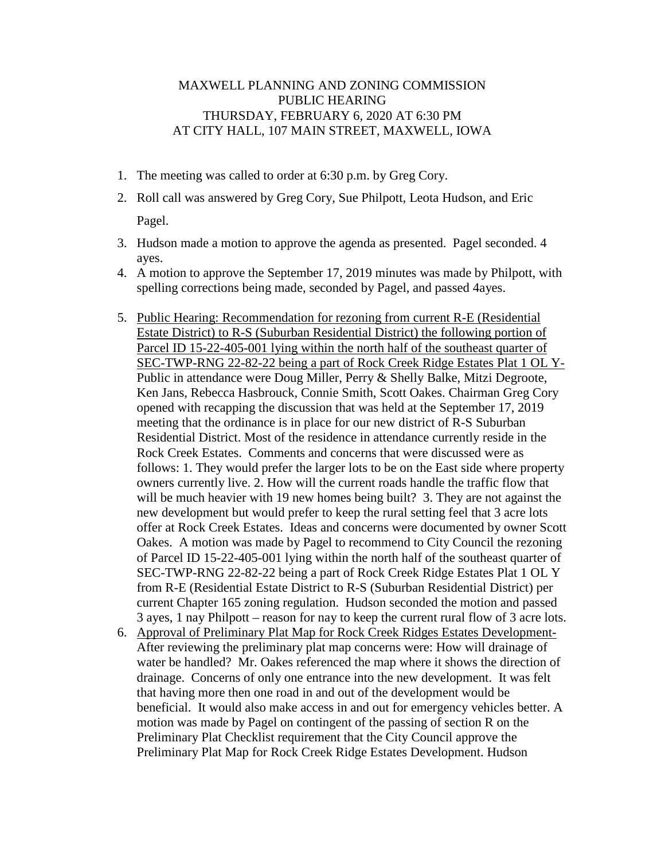## MAXWELL PLANNING AND ZONING COMMISSION PUBLIC HEARING THURSDAY, FEBRUARY 6, 2020 AT 6:30 PM AT CITY HALL, 107 MAIN STREET, MAXWELL, IOWA

- 1. The meeting was called to order at 6:30 p.m. by Greg Cory.
- 2. Roll call was answered by Greg Cory, Sue Philpott, Leota Hudson, and Eric Pagel.
- 3. Hudson made a motion to approve the agenda as presented. Pagel seconded. 4 ayes.
- 4. A motion to approve the September 17, 2019 minutes was made by Philpott, with spelling corrections being made, seconded by Pagel, and passed 4ayes.
- 5. Public Hearing: Recommendation for rezoning from current R-E (Residential Estate District) to R-S (Suburban Residential District) the following portion of Parcel ID 15-22-405-001 lying within the north half of the southeast quarter of SEC-TWP-RNG 22-82-22 being a part of Rock Creek Ridge Estates Plat 1 OL Y-Public in attendance were Doug Miller, Perry & Shelly Balke, Mitzi Degroote, Ken Jans, Rebecca Hasbrouck, Connie Smith, Scott Oakes. Chairman Greg Cory opened with recapping the discussion that was held at the September 17, 2019 meeting that the ordinance is in place for our new district of R-S Suburban Residential District. Most of the residence in attendance currently reside in the Rock Creek Estates. Comments and concerns that were discussed were as follows: 1. They would prefer the larger lots to be on the East side where property owners currently live. 2. How will the current roads handle the traffic flow that will be much heavier with 19 new homes being built? 3. They are not against the new development but would prefer to keep the rural setting feel that 3 acre lots offer at Rock Creek Estates. Ideas and concerns were documented by owner Scott Oakes. A motion was made by Pagel to recommend to City Council the rezoning of Parcel ID 15-22-405-001 lying within the north half of the southeast quarter of SEC-TWP-RNG 22-82-22 being a part of Rock Creek Ridge Estates Plat 1 OL Y from R-E (Residential Estate District to R-S (Suburban Residential District) per current Chapter 165 zoning regulation. Hudson seconded the motion and passed 3 ayes, 1 nay Philpott – reason for nay to keep the current rural flow of 3 acre lots.
- 6. Approval of Preliminary Plat Map for Rock Creek Ridges Estates Development-After reviewing the preliminary plat map concerns were: How will drainage of water be handled? Mr. Oakes referenced the map where it shows the direction of drainage. Concerns of only one entrance into the new development. It was felt that having more then one road in and out of the development would be beneficial. It would also make access in and out for emergency vehicles better. A motion was made by Pagel on contingent of the passing of section R on the Preliminary Plat Checklist requirement that the City Council approve the Preliminary Plat Map for Rock Creek Ridge Estates Development. Hudson